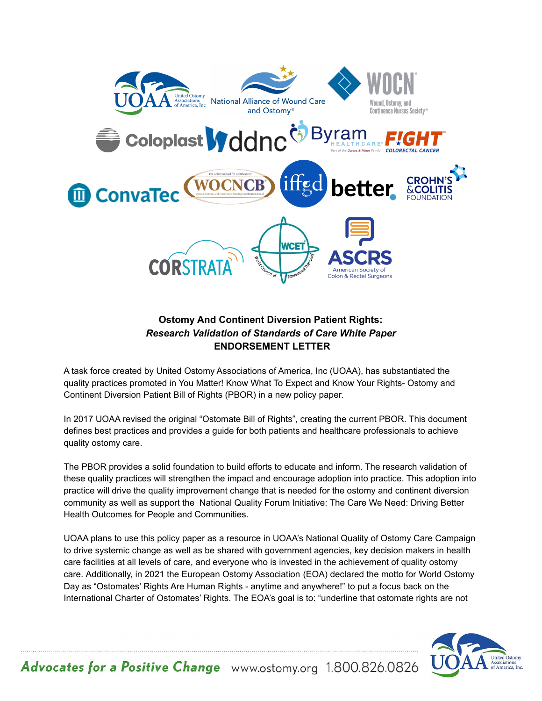

## **Ostomy And Continent Diversion Patient Rights:** *Research Validation of Standards of Care White Paper* **ENDORSEMENT LETTER**

A task force created by United Ostomy Associations of America, Inc (UOAA), has substantiated the quality practices promoted in You Matter! Know What To Expect and Know Your Rights- Ostomy and Continent Diversion Patient Bill of Rights (PBOR) in a new policy paper.

In 2017 UOAA revised the original "Ostomate Bill of Rights", creating the current PBOR. This document defines best practices and provides a guide for both patients and healthcare professionals to achieve quality ostomy care.

The PBOR provides a solid foundation to build efforts to educate and inform. The research validation of these quality practices will strengthen the impact and encourage adoption into practice. This adoption into practice will drive the quality improvement change that is needed for the ostomy and continent diversion community as well as support the National Quality Forum Initiative: The Care We Need: Driving Better Health Outcomes for People and Communities.

UOAA plans to use this policy paper as a resource in UOAA's National Quality of Ostomy Care Campaign to drive systemic change as well as be shared with government agencies, key decision makers in health care facilities at all levels of care, and everyone who is invested in the achievement of quality ostomy care. Additionally, in 2021 the European Ostomy Association (EOA) declared the motto for World Ostomy Day as "Ostomates' Rights Are Human Rights - anytime and anywhere!" to put a focus back on the International Charter of Ostomates' Rights. The EOA's goal is to: "underline that ostomate rights are not



Advocates for a Positive Change www.ostomy.org 1.800.826.0826